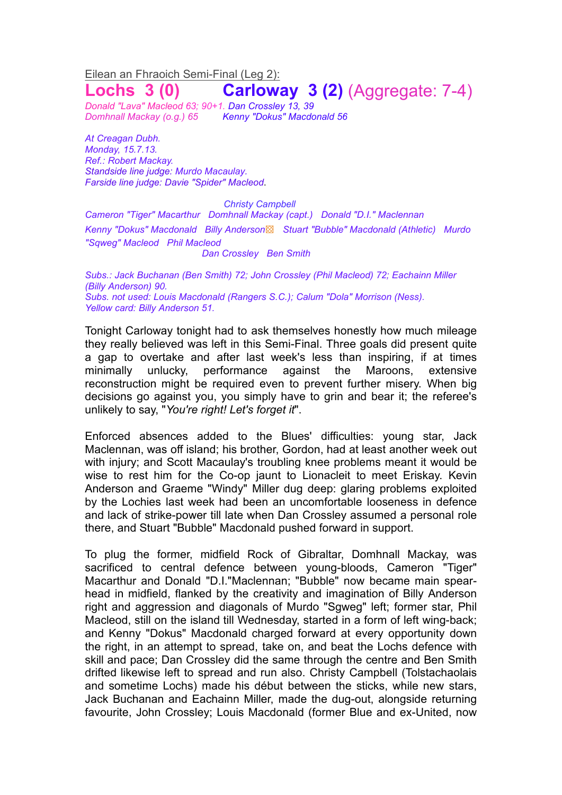## Eilean an Fhraoich Semi-Final (Leg 2): **Lochs 3 (0) Carloway 3 (2)** (Aggregate: 7-4)

*Donald "Lava" Macleod 63; 90+1. Dan Crossley 13, 39 Domhnall Mackay (o.g.) 65 Kenny "Dokus" Macdonald 56*

*At Creagan Dubh. Monday, 15.7.13. Ref.: Robert Mackay. Standside line judge: Murdo Macaulay. Farside line judge: Davie "Spider" Macleod*.

*Christy Campbell*

*Cameron "Tiger" Macarthur Domhnall Mackay (capt.) Donald "D.I." Maclennan Kenny "Dokus" Macdonald Billy Anderson*▩ *Stuart "Bubble" Macdonald (Athletic) Murdo "Sqweg" Macleod Phil Macleod Dan Crossley Ben Smith*

*Subs.: Jack Buchanan (Ben Smith) 72; John Crossley (Phil Macleod) 72; Eachainn Miller (Billy Anderson) 90. Subs. not used: Louis Macdonald (Rangers S.C.); Calum "Dola" Morrison (Ness). Yellow card: Billy Anderson 51.*

Tonight Carloway tonight had to ask themselves honestly how much mileage they really believed was left in this Semi-Final. Three goals did present quite a gap to overtake and after last week's less than inspiring, if at times minimally unlucky, performance against the Maroons, extensive reconstruction might be required even to prevent further misery. When big decisions go against you, you simply have to grin and bear it; the referee's unlikely to say, "*You're right! Let's forget it*".

Enforced absences added to the Blues' difficulties: young star, Jack Maclennan, was off island; his brother, Gordon, had at least another week out with injury; and Scott Macaulay's troubling knee problems meant it would be wise to rest him for the Co-op jaunt to Lionacleit to meet Eriskay. Kevin Anderson and Graeme "Windy" Miller dug deep: glaring problems exploited by the Lochies last week had been an uncomfortable looseness in defence and lack of strike-power till late when Dan Crossley assumed a personal role there, and Stuart "Bubble" Macdonald pushed forward in support.

To plug the former, midfield Rock of Gibraltar, Domhnall Mackay, was sacrificed to central defence between young-bloods, Cameron "Tiger" Macarthur and Donald "D.I."Maclennan; "Bubble" now became main spearhead in midfield, flanked by the creativity and imagination of Billy Anderson right and aggression and diagonals of Murdo "Sgweg" left; former star, Phil Macleod, still on the island till Wednesday, started in a form of left wing-back; and Kenny "Dokus" Macdonald charged forward at every opportunity down the right, in an attempt to spread, take on, and beat the Lochs defence with skill and pace; Dan Crossley did the same through the centre and Ben Smith drifted likewise left to spread and run also. Christy Campbell (Tolstachaolais and sometime Lochs) made his début between the sticks, while new stars, Jack Buchanan and Eachainn Miller, made the dug-out, alongside returning favourite, John Crossley; Louis Macdonald (former Blue and ex-United, now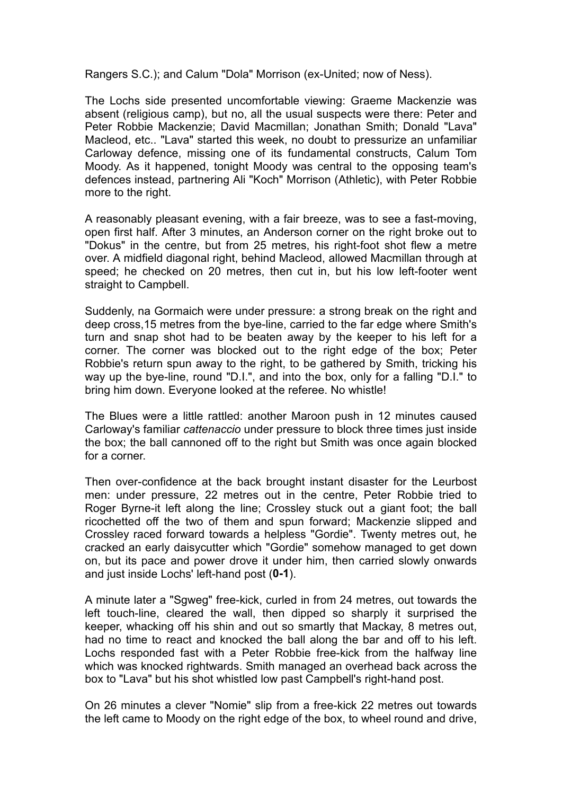Rangers S.C.); and Calum "Dola" Morrison (ex-United; now of Ness).

The Lochs side presented uncomfortable viewing: Graeme Mackenzie was absent (religious camp), but no, all the usual suspects were there: Peter and Peter Robbie Mackenzie; David Macmillan; Jonathan Smith; Donald "Lava" Macleod, etc.. "Lava" started this week, no doubt to pressurize an unfamiliar Carloway defence, missing one of its fundamental constructs, Calum Tom Moody. As it happened, tonight Moody was central to the opposing team's defences instead, partnering Ali "Koch" Morrison (Athletic), with Peter Robbie more to the right.

A reasonably pleasant evening, with a fair breeze, was to see a fast-moving, open first half. After 3 minutes, an Anderson corner on the right broke out to "Dokus" in the centre, but from 25 metres, his right-foot shot flew a metre over. A midfield diagonal right, behind Macleod, allowed Macmillan through at speed; he checked on 20 metres, then cut in, but his low left-footer went straight to Campbell.

Suddenly, na Gormaich were under pressure: a strong break on the right and deep cross,15 metres from the bye-line, carried to the far edge where Smith's turn and snap shot had to be beaten away by the keeper to his left for a corner. The corner was blocked out to the right edge of the box; Peter Robbie's return spun away to the right, to be gathered by Smith, tricking his way up the bye-line, round "D.I.", and into the box, only for a falling "D.I." to bring him down. Everyone looked at the referee. No whistle!

The Blues were a little rattled: another Maroon push in 12 minutes caused Carloway's familiar *cattenaccio* under pressure to block three times just inside the box; the ball cannoned off to the right but Smith was once again blocked for a corner.

Then over-confidence at the back brought instant disaster for the Leurbost men: under pressure, 22 metres out in the centre, Peter Robbie tried to Roger Byrne-it left along the line; Crossley stuck out a giant foot; the ball ricochetted off the two of them and spun forward; Mackenzie slipped and Crossley raced forward towards a helpless "Gordie". Twenty metres out, he cracked an early daisycutter which "Gordie" somehow managed to get down on, but its pace and power drove it under him, then carried slowly onwards and just inside Lochs' left-hand post (**0-1**).

A minute later a "Sgweg" free-kick, curled in from 24 metres, out towards the left touch-line, cleared the wall, then dipped so sharply it surprised the keeper, whacking off his shin and out so smartly that Mackay, 8 metres out, had no time to react and knocked the ball along the bar and off to his left. Lochs responded fast with a Peter Robbie free-kick from the halfway line which was knocked rightwards. Smith managed an overhead back across the box to "Lava" but his shot whistled low past Campbell's right-hand post.

On 26 minutes a clever "Nomie" slip from a free-kick 22 metres out towards the left came to Moody on the right edge of the box, to wheel round and drive,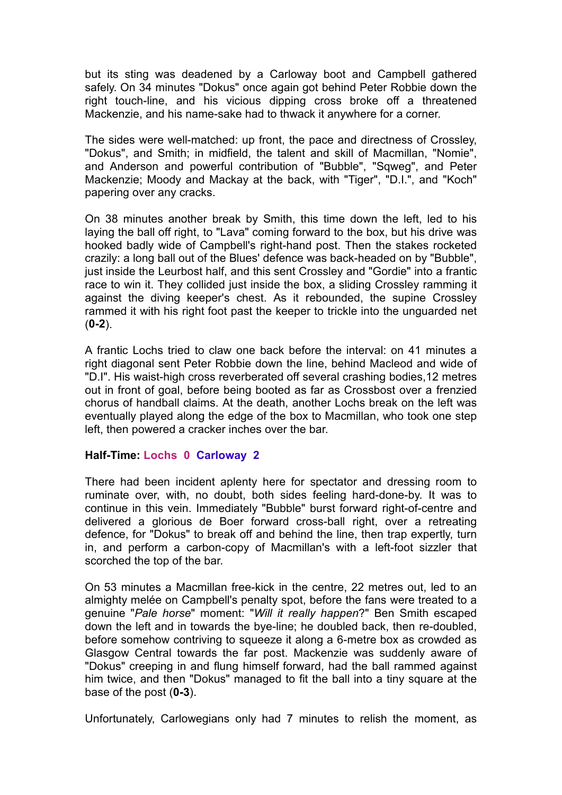but its sting was deadened by a Carloway boot and Campbell gathered safely. On 34 minutes "Dokus" once again got behind Peter Robbie down the right touch-line, and his vicious dipping cross broke off a threatened Mackenzie, and his name-sake had to thwack it anywhere for a corner.

The sides were well-matched: up front, the pace and directness of Crossley, "Dokus", and Smith; in midfield, the talent and skill of Macmillan, "Nomie", and Anderson and powerful contribution of "Bubble", "Sqweg", and Peter Mackenzie; Moody and Mackay at the back, with "Tiger", "D.I.", and "Koch" papering over any cracks.

On 38 minutes another break by Smith, this time down the left, led to his laying the ball off right, to "Lava" coming forward to the box, but his drive was hooked badly wide of Campbell's right-hand post. Then the stakes rocketed crazily: a long ball out of the Blues' defence was back-headed on by "Bubble", just inside the Leurbost half, and this sent Crossley and "Gordie" into a frantic race to win it. They collided just inside the box, a sliding Crossley ramming it against the diving keeper's chest. As it rebounded, the supine Crossley rammed it with his right foot past the keeper to trickle into the unguarded net (**0-2**).

A frantic Lochs tried to claw one back before the interval: on 41 minutes a right diagonal sent Peter Robbie down the line, behind Macleod and wide of "D.I". His waist-high cross reverberated off several crashing bodies,12 metres out in front of goal, before being booted as far as Crossbost over a frenzied chorus of handball claims. At the death, another Lochs break on the left was eventually played along the edge of the box to Macmillan, who took one step left, then powered a cracker inches over the bar.

## **Half-Time: Lochs 0 Carloway 2**

There had been incident aplenty here for spectator and dressing room to ruminate over, with, no doubt, both sides feeling hard-done-by. It was to continue in this vein. Immediately "Bubble" burst forward right-of-centre and delivered a glorious de Boer forward cross-ball right, over a retreating defence, for "Dokus" to break off and behind the line, then trap expertly, turn in, and perform a carbon-copy of Macmillan's with a left-foot sizzler that scorched the top of the bar.

On 53 minutes a Macmillan free-kick in the centre, 22 metres out, led to an almighty melée on Campbell's penalty spot, before the fans were treated to a genuine "*Pale horse*" moment: "*Will it really happen*?" Ben Smith escaped down the left and in towards the bye-line; he doubled back, then re-doubled, before somehow contriving to squeeze it along a 6-metre box as crowded as Glasgow Central towards the far post. Mackenzie was suddenly aware of "Dokus" creeping in and flung himself forward, had the ball rammed against him twice, and then "Dokus" managed to fit the ball into a tiny square at the base of the post (**0-3**).

Unfortunately, Carlowegians only had 7 minutes to relish the moment, as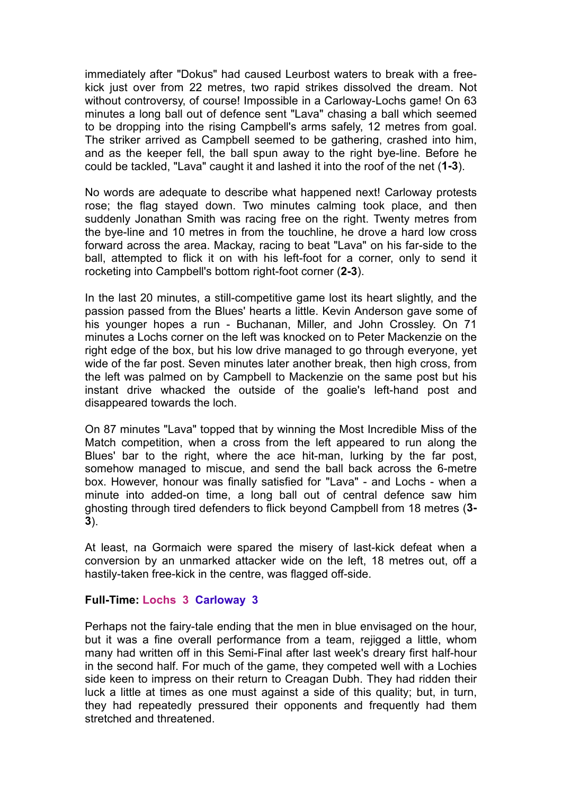immediately after "Dokus" had caused Leurbost waters to break with a freekick just over from 22 metres, two rapid strikes dissolved the dream. Not without controversy, of course! Impossible in a Carloway-Lochs game! On 63 minutes a long ball out of defence sent "Lava" chasing a ball which seemed to be dropping into the rising Campbell's arms safely, 12 metres from goal. The striker arrived as Campbell seemed to be gathering, crashed into him, and as the keeper fell, the ball spun away to the right bye-line. Before he could be tackled, "Lava" caught it and lashed it into the roof of the net (**1-3**).

No words are adequate to describe what happened next! Carloway protests rose; the flag stayed down. Two minutes calming took place, and then suddenly Jonathan Smith was racing free on the right. Twenty metres from the bye-line and 10 metres in from the touchline, he drove a hard low cross forward across the area. Mackay, racing to beat "Lava" on his far-side to the ball, attempted to flick it on with his left-foot for a corner, only to send it rocketing into Campbell's bottom right-foot corner (**2-3**).

In the last 20 minutes, a still-competitive game lost its heart slightly, and the passion passed from the Blues' hearts a little. Kevin Anderson gave some of his younger hopes a run - Buchanan, Miller, and John Crossley. On 71 minutes a Lochs corner on the left was knocked on to Peter Mackenzie on the right edge of the box, but his low drive managed to go through everyone, yet wide of the far post. Seven minutes later another break, then high cross, from the left was palmed on by Campbell to Mackenzie on the same post but his instant drive whacked the outside of the goalie's left-hand post and disappeared towards the loch.

On 87 minutes "Lava" topped that by winning the Most Incredible Miss of the Match competition, when a cross from the left appeared to run along the Blues' bar to the right, where the ace hit-man, lurking by the far post, somehow managed to miscue, and send the ball back across the 6-metre box. However, honour was finally satisfied for "Lava" - and Lochs - when a minute into added-on time, a long ball out of central defence saw him ghosting through tired defenders to flick beyond Campbell from 18 metres (**3- 3**).

At least, na Gormaich were spared the misery of last-kick defeat when a conversion by an unmarked attacker wide on the left, 18 metres out, off a hastily-taken free-kick in the centre, was flagged off-side.

## **Full-Time: Lochs 3 Carloway 3**

Perhaps not the fairy-tale ending that the men in blue envisaged on the hour, but it was a fine overall performance from a team, rejigged a little, whom many had written off in this Semi-Final after last week's dreary first half-hour in the second half. For much of the game, they competed well with a Lochies side keen to impress on their return to Creagan Dubh. They had ridden their luck a little at times as one must against a side of this quality; but, in turn, they had repeatedly pressured their opponents and frequently had them stretched and threatened.